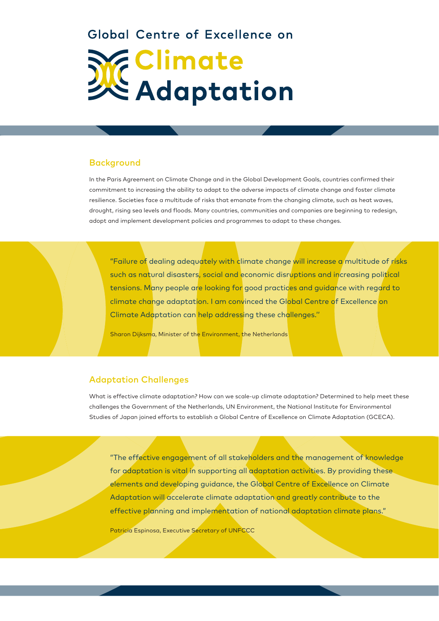# Global Centre of Excellence on Climate<br>CAdaptation

# **Background**

In the Paris Agreement on Climate Change and in the Global Development Goals, countries confirmed their commitment to increasing the ability to adapt to the adverse impacts of climate change and foster climate resilience. Societies face a multitude of risks that emanate from the changing climate, such as heat waves, drought, rising sea levels and floods. Many countries, communities and companies are beginning to redesign, adopt and implement development policies and programmes to adapt to these changes.

"Failure of dealing adequately with climate change will increase a multitude of risks such as natural disasters, social and economic disruptions and increasing political tensions. Many people are looking for good practices and guidance with regard to climate change adaptation. I am convinced the Global Centre of Excellence on Climate Adaptation can help addressing these challenges.''

Sharon Dijksma, Minister of the Environment, the Netherlands

# Adaptation Challenges

What is effective climate adaptation? How can we scale-up climate adaptation? Determined to help meet these challenges the Government of the Netherlands, UN Environment, the National Institute for Environmental Studies of Japan joined efforts to establish a Global Centre of Excellence on Climate Adaptation (GCECA).

"The effective engagement of all stakeholders and the management of knowledge for adaptation is vital in supporting all adaptation activities. By providing these elements and developing guidance, the Global Centre of Excellence on Climate Adaptation will accelerate climate adaptation and greatly contribute to the effective planning and implementation of national adaptation climate plans."

Patricia Espinosa, Executive Secretary of UNFCCC